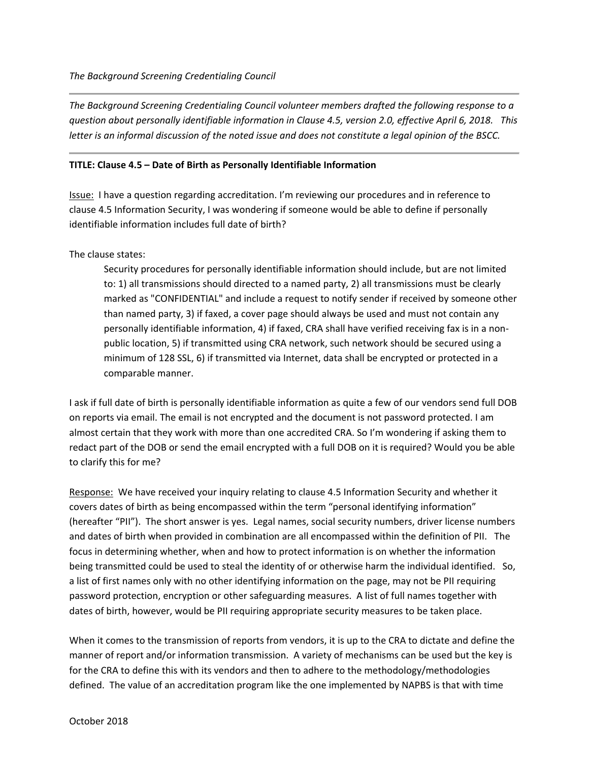*The Background Screening Credentialing Council volunteer members drafted the following response to a question about personally identifiable information in Clause 4.5, version 2.0, effective April 6, 2018. This letter is an informal discussion of the noted issue and does not constitute a legal opinion of the BSCC.*

## **TITLE: Clause 4.5 – Date of Birth as Personally Identifiable Information**

Issue: I have a question regarding accreditation. I'm reviewing our procedures and in reference to clause 4.5 Information Security, I was wondering if someone would be able to define if personally identifiable information includes full date of birth?

The clause states:

Security procedures for personally identifiable information should include, but are not limited to: 1) all transmissions should directed to a named party, 2) all transmissions must be clearly marked as "CONFIDENTIAL" and include a request to notify sender if received by someone other than named party, 3) if faxed, a cover page should always be used and must not contain any personally identifiable information, 4) if faxed, CRA shall have verified receiving fax is in a nonpublic location, 5) if transmitted using CRA network, such network should be secured using a minimum of 128 SSL, 6) if transmitted via Internet, data shall be encrypted or protected in a comparable manner.

I ask if full date of birth is personally identifiable information as quite a few of our vendors send full DOB on reports via email. The email is not encrypted and the document is not password protected. I am almost certain that they work with more than one accredited CRA. So I'm wondering if asking them to redact part of the DOB or send the email encrypted with a full DOB on it is required? Would you be able to clarify this for me?

Response: We have received your inquiry relating to clause 4.5 Information Security and whether it covers dates of birth as being encompassed within the term "personal identifying information" (hereafter "PII"). The short answer is yes. Legal names, social security numbers, driver license numbers and dates of birth when provided in combination are all encompassed within the definition of PII. The focus in determining whether, when and how to protect information is on whether the information being transmitted could be used to steal the identity of or otherwise harm the individual identified. So, a list of first names only with no other identifying information on the page, may not be PII requiring password protection, encryption or other safeguarding measures. A list of full names together with dates of birth, however, would be PII requiring appropriate security measures to be taken place.

When it comes to the transmission of reports from vendors, it is up to the CRA to dictate and define the manner of report and/or information transmission. A variety of mechanisms can be used but the key is for the CRA to define this with its vendors and then to adhere to the methodology/methodologies defined. The value of an accreditation program like the one implemented by NAPBS is that with time